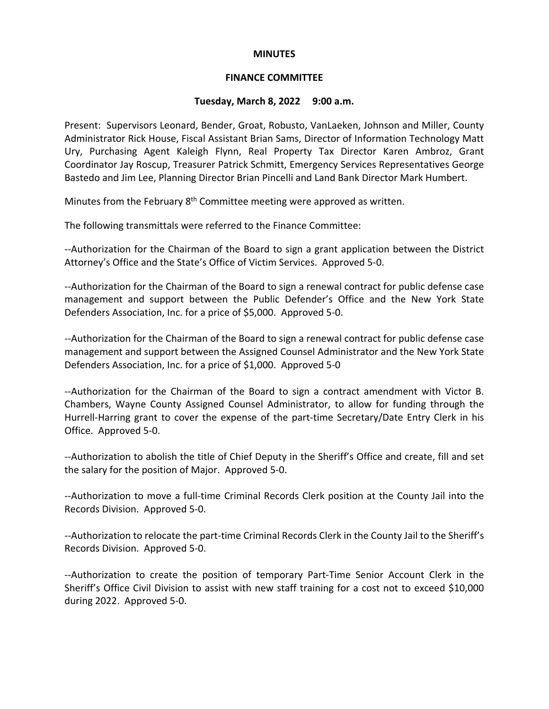#### **MINUTES**

#### **FINANCE COMMITTEE**

# **Tuesday, March 8, 2022 9:00 a.m.**

Present: Supervisors Leonard, Bender, Groat, Robusto, VanLaeken, Johnson and Miller, County Administrator Rick House, Fiscal Assistant Brian Sams, Director of Information Technology Matt Ury, Purchasing Agent Kaleigh Flynn, Real Property Tax Director Karen Ambroz, Grant Coordinator Jay Roscup, Treasurer Patrick Schmitt, Emergency Services Representatives George Bastedo and Jim Lee, Planning Director Brian Pincelli and Land Bank Director Mark Humbert.

Minutes from the February  $8<sup>th</sup>$  Committee meeting were approved as written.

The following transmittals were referred to the Finance Committee:

--Authorization for the Chairman of the Board to sign a grant application between the District Attorney's Office and the State's Office of Victim Services. Approved 5-0.

--Authorization for the Chairman of the Board to sign a renewal contract for public defense case management and support between the Public Defender's Office and the New York State Defenders Association, Inc. for a price of \$5,000. Approved 5-0.

--Authorization for the Chairman of the Board to sign a renewal contract for public defense case management and support between the Assigned Counsel Administrator and the New York State Defenders Association, Inc. for a price of \$1,000. Approved 5-0

--Authorization for the Chairman of the Board to sign a contract amendment with Victor B. Chambers, Wayne County Assigned Counsel Administrator, to allow for funding through the Hurrell-Harring grant to cover the expense of the part-time Secretary/Date Entry Clerk in his Office. Approved 5-0.

--Authorization to abolish the title of Chief Deputy in the Sheriff's Office and create, fill and set the salary for the position of Major. Approved 5-0.

--Authorization to move a full-time Criminal Records Clerk position at the County Jail into the Records Division. Approved 5-0.

--Authorization to relocate the part-time Criminal Records Clerk in the County Jail to the Sheriff's Records Division. Approved 5-0.

--Authorization to create the position of temporary Part-Time Senior Account Clerk in the Sheriff's Office Civil Division to assist with new staff training for a cost not to exceed \$10,000 during 2022. Approved 5-0.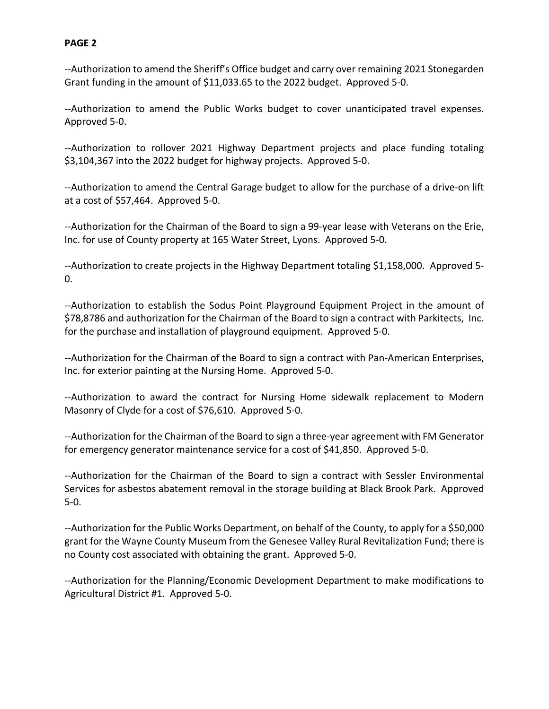--Authorization to amend the Sheriff's Office budget and carry over remaining 2021 Stonegarden Grant funding in the amount of \$11,033.65 to the 2022 budget. Approved 5-0.

--Authorization to amend the Public Works budget to cover unanticipated travel expenses. Approved 5-0.

--Authorization to rollover 2021 Highway Department projects and place funding totaling \$3,104,367 into the 2022 budget for highway projects. Approved 5-0.

--Authorization to amend the Central Garage budget to allow for the purchase of a drive-on lift at a cost of \$57,464. Approved 5-0.

--Authorization for the Chairman of the Board to sign a 99-year lease with Veterans on the Erie, Inc. for use of County property at 165 Water Street, Lyons. Approved 5-0.

--Authorization to create projects in the Highway Department totaling \$1,158,000. Approved 5-0.

--Authorization to establish the Sodus Point Playground Equipment Project in the amount of \$78,8786 and authorization for the Chairman of the Board to sign a contract with Parkitects, Inc. for the purchase and installation of playground equipment. Approved 5-0.

--Authorization for the Chairman of the Board to sign a contract with Pan-American Enterprises, Inc. for exterior painting at the Nursing Home. Approved 5-0.

--Authorization to award the contract for Nursing Home sidewalk replacement to Modern Masonry of Clyde for a cost of \$76,610. Approved 5-0.

--Authorization for the Chairman of the Board to sign a three-year agreement with FM Generator for emergency generator maintenance service for a cost of \$41,850. Approved 5-0.

--Authorization for the Chairman of the Board to sign a contract with Sessler Environmental Services for asbestos abatement removal in the storage building at Black Brook Park. Approved 5-0.

--Authorization for the Public Works Department, on behalf of the County, to apply for a \$50,000 grant for the Wayne County Museum from the Genesee Valley Rural Revitalization Fund; there is no County cost associated with obtaining the grant. Approved 5-0.

--Authorization for the Planning/Economic Development Department to make modifications to Agricultural District #1. Approved 5-0.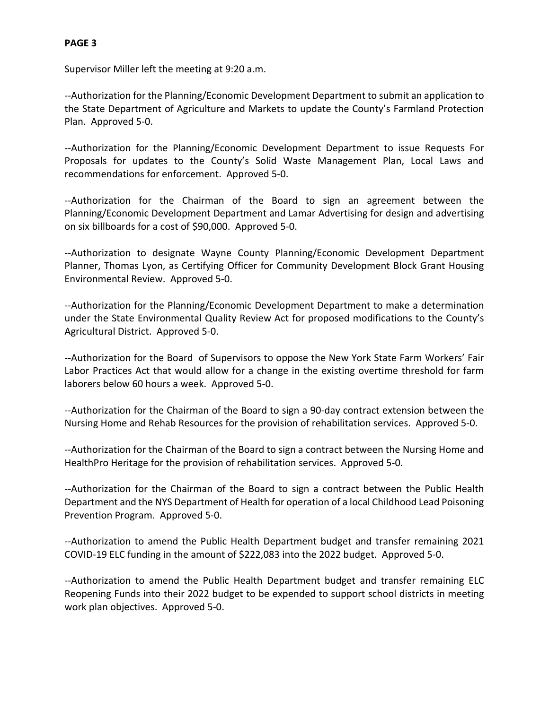Supervisor Miller left the meeting at 9:20 a.m.

--Authorization for the Planning/Economic Development Department to submit an application to the State Department of Agriculture and Markets to update the County's Farmland Protection Plan. Approved 5-0.

--Authorization for the Planning/Economic Development Department to issue Requests For Proposals for updates to the County's Solid Waste Management Plan, Local Laws and recommendations for enforcement. Approved 5-0.

--Authorization for the Chairman of the Board to sign an agreement between the Planning/Economic Development Department and Lamar Advertising for design and advertising on six billboards for a cost of \$90,000. Approved 5-0.

--Authorization to designate Wayne County Planning/Economic Development Department Planner, Thomas Lyon, as Certifying Officer for Community Development Block Grant Housing Environmental Review. Approved 5-0.

--Authorization for the Planning/Economic Development Department to make a determination under the State Environmental Quality Review Act for proposed modifications to the County's Agricultural District. Approved 5-0.

--Authorization for the Board of Supervisors to oppose the New York State Farm Workers' Fair Labor Practices Act that would allow for a change in the existing overtime threshold for farm laborers below 60 hours a week. Approved 5-0.

--Authorization for the Chairman of the Board to sign a 90-day contract extension between the Nursing Home and Rehab Resources for the provision of rehabilitation services. Approved 5-0.

--Authorization for the Chairman of the Board to sign a contract between the Nursing Home and HealthPro Heritage for the provision of rehabilitation services. Approved 5-0.

--Authorization for the Chairman of the Board to sign a contract between the Public Health Department and the NYS Department of Health for operation of a local Childhood Lead Poisoning Prevention Program. Approved 5-0.

--Authorization to amend the Public Health Department budget and transfer remaining 2021 COVID-19 ELC funding in the amount of \$222,083 into the 2022 budget. Approved 5-0.

--Authorization to amend the Public Health Department budget and transfer remaining ELC Reopening Funds into their 2022 budget to be expended to support school districts in meeting work plan objectives. Approved 5-0.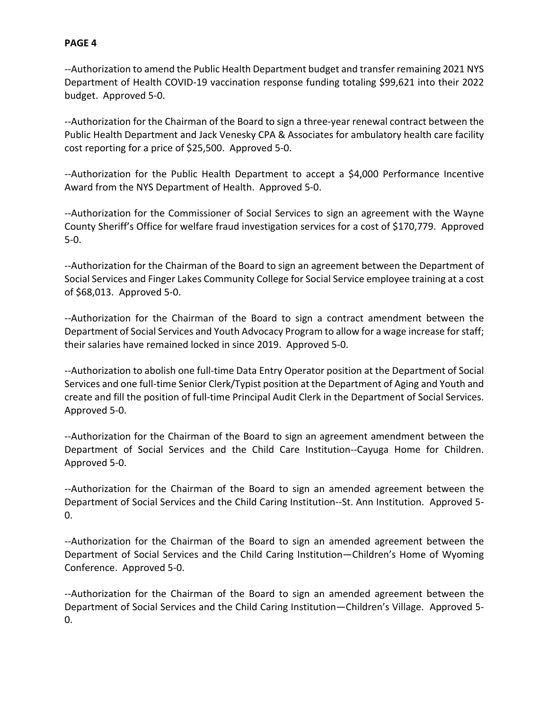--Authorization to amend the Public Health Department budget and transfer remaining 2021 NYS Department of Health COVID-19 vaccination response funding totaling \$99,621 into their 2022 budget. Approved 5-0.

--Authorization for the Chairman of the Board to sign a three-year renewal contract between the Public Health Department and Jack Venesky CPA & Associates for ambulatory health care facility cost reporting for a price of \$25,500. Approved 5-0.

--Authorization for the Public Health Department to accept a \$4,000 Performance Incentive Award from the NYS Department of Health. Approved 5-0.

--Authorization for the Commissioner of Social Services to sign an agreement with the Wayne County Sheriff's Office for welfare fraud investigation services for a cost of \$170,779. Approved 5-0.

--Authorization for the Chairman of the Board to sign an agreement between the Department of Social Services and Finger Lakes Community College for Social Service employee training at a cost of \$68,013. Approved 5-0.

--Authorization for the Chairman of the Board to sign a contract amendment between the Department of Social Services and Youth Advocacy Program to allow for a wage increase for staff; their salaries have remained locked in since 2019. Approved 5-0.

--Authorization to abolish one full-time Data Entry Operator position at the Department of Social Services and one full-time Senior Clerk/Typist position at the Department of Aging and Youth and create and fill the position of full-time Principal Audit Clerk in the Department of Social Services. Approved 5-0.

--Authorization for the Chairman of the Board to sign an agreement amendment between the Department of Social Services and the Child Care Institution--Cayuga Home for Children. Approved 5-0.

--Authorization for the Chairman of the Board to sign an amended agreement between the Department of Social Services and the Child Caring Institution--St. Ann Institution. Approved 5-  $0<sub>l</sub>$ 

--Authorization for the Chairman of the Board to sign an amended agreement between the Department of Social Services and the Child Caring Institution—Children's Home of Wyoming Conference. Approved 5-0.

--Authorization for the Chairman of the Board to sign an amended agreement between the Department of Social Services and the Child Caring Institution—Children's Village. Approved 5- 0.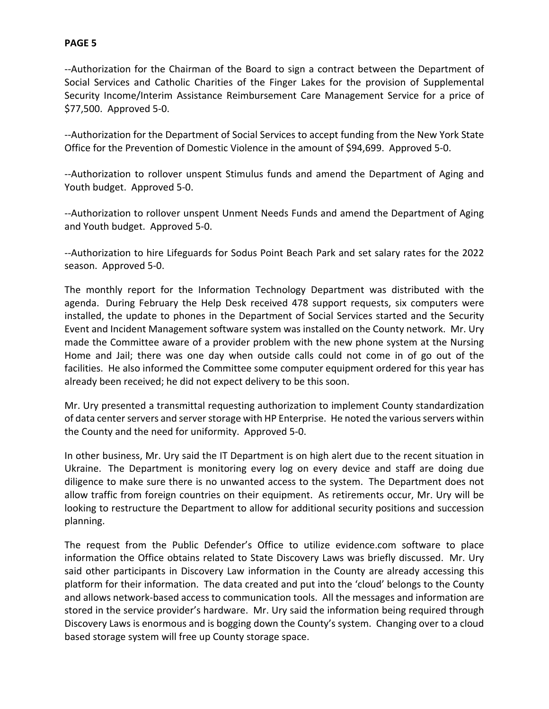--Authorization for the Chairman of the Board to sign a contract between the Department of Social Services and Catholic Charities of the Finger Lakes for the provision of Supplemental Security Income/Interim Assistance Reimbursement Care Management Service for a price of \$77,500. Approved 5-0.

--Authorization for the Department of Social Services to accept funding from the New York State Office for the Prevention of Domestic Violence in the amount of \$94,699. Approved 5-0.

--Authorization to rollover unspent Stimulus funds and amend the Department of Aging and Youth budget. Approved 5-0.

--Authorization to rollover unspent Unment Needs Funds and amend the Department of Aging and Youth budget. Approved 5-0.

--Authorization to hire Lifeguards for Sodus Point Beach Park and set salary rates for the 2022 season. Approved 5-0.

The monthly report for the Information Technology Department was distributed with the agenda. During February the Help Desk received 478 support requests, six computers were installed, the update to phones in the Department of Social Services started and the Security Event and Incident Management software system was installed on the County network. Mr. Ury made the Committee aware of a provider problem with the new phone system at the Nursing Home and Jail; there was one day when outside calls could not come in of go out of the facilities. He also informed the Committee some computer equipment ordered for this year has already been received; he did not expect delivery to be this soon.

Mr. Ury presented a transmittal requesting authorization to implement County standardization of data center servers and server storage with HP Enterprise. He noted the various servers within the County and the need for uniformity. Approved 5-0.

In other business, Mr. Ury said the IT Department is on high alert due to the recent situation in Ukraine. The Department is monitoring every log on every device and staff are doing due diligence to make sure there is no unwanted access to the system. The Department does not allow traffic from foreign countries on their equipment. As retirements occur, Mr. Ury will be looking to restructure the Department to allow for additional security positions and succession planning.

The request from the Public Defender's Office to utilize evidence.com software to place information the Office obtains related to State Discovery Laws was briefly discussed. Mr. Ury said other participants in Discovery Law information in the County are already accessing this platform for their information. The data created and put into the 'cloud' belongs to the County and allows network-based access to communication tools. All the messages and information are stored in the service provider's hardware. Mr. Ury said the information being required through Discovery Laws is enormous and is bogging down the County's system. Changing over to a cloud based storage system will free up County storage space.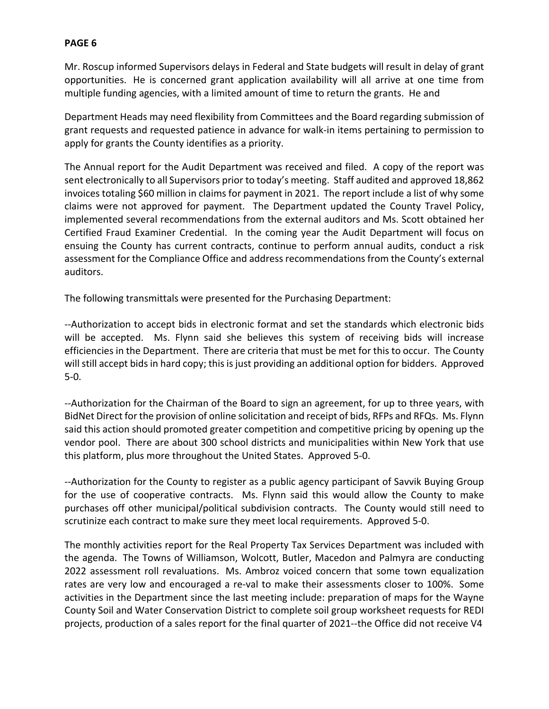Mr. Roscup informed Supervisors delays in Federal and State budgets will result in delay of grant opportunities. He is concerned grant application availability will all arrive at one time from multiple funding agencies, with a limited amount of time to return the grants. He and

Department Heads may need flexibility from Committees and the Board regarding submission of grant requests and requested patience in advance for walk-in items pertaining to permission to apply for grants the County identifies as a priority.

The Annual report for the Audit Department was received and filed. A copy of the report was sent electronically to all Supervisors prior to today's meeting. Staff audited and approved 18,862 invoices totaling \$60 million in claims for payment in 2021. The report include a list of why some claims were not approved for payment. The Department updated the County Travel Policy, implemented several recommendations from the external auditors and Ms. Scott obtained her Certified Fraud Examiner Credential. In the coming year the Audit Department will focus on ensuing the County has current contracts, continue to perform annual audits, conduct a risk assessment for the Compliance Office and address recommendations from the County's external auditors.

The following transmittals were presented for the Purchasing Department:

--Authorization to accept bids in electronic format and set the standards which electronic bids will be accepted. Ms. Flynn said she believes this system of receiving bids will increase efficiencies in the Department. There are criteria that must be met for this to occur. The County will still accept bids in hard copy; this is just providing an additional option for bidders. Approved 5-0.

--Authorization for the Chairman of the Board to sign an agreement, for up to three years, with BidNet Direct for the provision of online solicitation and receipt of bids, RFPs and RFQs. Ms. Flynn said this action should promoted greater competition and competitive pricing by opening up the vendor pool. There are about 300 school districts and municipalities within New York that use this platform, plus more throughout the United States. Approved 5-0.

--Authorization for the County to register as a public agency participant of Savvik Buying Group for the use of cooperative contracts. Ms. Flynn said this would allow the County to make purchases off other municipal/political subdivision contracts. The County would still need to scrutinize each contract to make sure they meet local requirements. Approved 5-0.

The monthly activities report for the Real Property Tax Services Department was included with the agenda. The Towns of Williamson, Wolcott, Butler, Macedon and Palmyra are conducting 2022 assessment roll revaluations. Ms. Ambroz voiced concern that some town equalization rates are very low and encouraged a re-val to make their assessments closer to 100%. Some activities in the Department since the last meeting include: preparation of maps for the Wayne County Soil and Water Conservation District to complete soil group worksheet requests for REDI projects, production of a sales report for the final quarter of 2021--the Office did not receive V4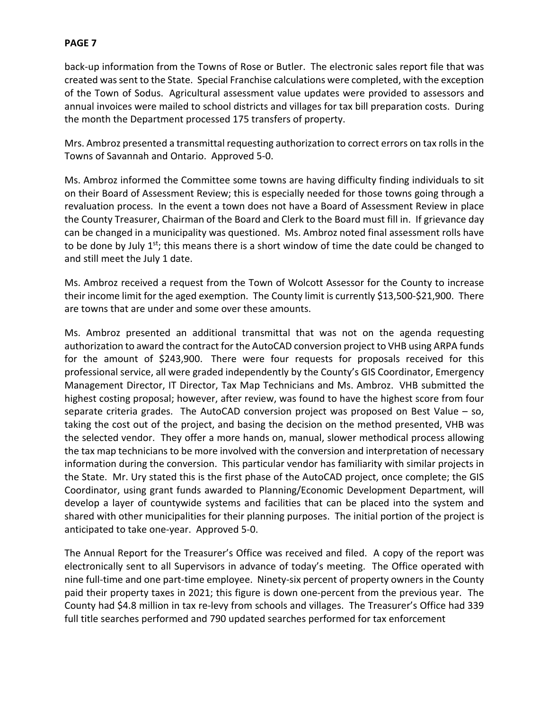back-up information from the Towns of Rose or Butler. The electronic sales report file that was created was sent to the State. Special Franchise calculations were completed, with the exception of the Town of Sodus. Agricultural assessment value updates were provided to assessors and annual invoices were mailed to school districts and villages for tax bill preparation costs. During the month the Department processed 175 transfers of property.

Mrs. Ambroz presented a transmittal requesting authorization to correct errors on tax rolls in the Towns of Savannah and Ontario. Approved 5-0.

Ms. Ambroz informed the Committee some towns are having difficulty finding individuals to sit on their Board of Assessment Review; this is especially needed for those towns going through a revaluation process. In the event a town does not have a Board of Assessment Review in place the County Treasurer, Chairman of the Board and Clerk to the Board must fill in. If grievance day can be changed in a municipality was questioned. Ms. Ambroz noted final assessment rolls have to be done by July 1<sup>st</sup>; this means there is a short window of time the date could be changed to and still meet the July 1 date.

Ms. Ambroz received a request from the Town of Wolcott Assessor for the County to increase their income limit for the aged exemption. The County limit is currently \$13,500-\$21,900. There are towns that are under and some over these amounts.

Ms. Ambroz presented an additional transmittal that was not on the agenda requesting authorization to award the contract for the AutoCAD conversion project to VHB using ARPA funds for the amount of \$243,900. There were four requests for proposals received for this professional service, all were graded independently by the County's GIS Coordinator, Emergency Management Director, IT Director, Tax Map Technicians and Ms. Ambroz. VHB submitted the highest costing proposal; however, after review, was found to have the highest score from four separate criteria grades. The AutoCAD conversion project was proposed on Best Value – so, taking the cost out of the project, and basing the decision on the method presented, VHB was the selected vendor. They offer a more hands on, manual, slower methodical process allowing the tax map technicians to be more involved with the conversion and interpretation of necessary information during the conversion. This particular vendor has familiarity with similar projects in the State. Mr. Ury stated this is the first phase of the AutoCAD project, once complete; the GIS Coordinator, using grant funds awarded to Planning/Economic Development Department, will develop a layer of countywide systems and facilities that can be placed into the system and shared with other municipalities for their planning purposes. The initial portion of the project is anticipated to take one-year. Approved 5-0.

The Annual Report for the Treasurer's Office was received and filed. A copy of the report was electronically sent to all Supervisors in advance of today's meeting. The Office operated with nine full-time and one part-time employee. Ninety-six percent of property owners in the County paid their property taxes in 2021; this figure is down one-percent from the previous year. The County had \$4.8 million in tax re-levy from schools and villages. The Treasurer's Office had 339 full title searches performed and 790 updated searches performed for tax enforcement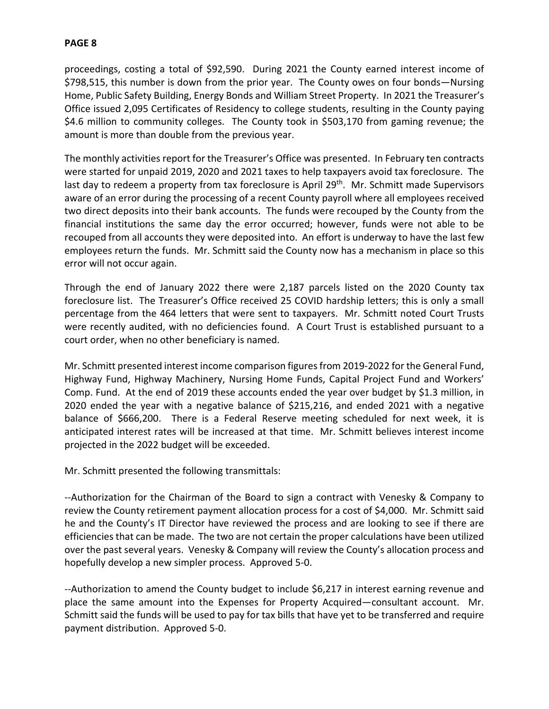proceedings, costing a total of \$92,590. During 2021 the County earned interest income of \$798,515, this number is down from the prior year. The County owes on four bonds—Nursing Home, Public Safety Building, Energy Bonds and William Street Property. In 2021 the Treasurer's Office issued 2,095 Certificates of Residency to college students, resulting in the County paying \$4.6 million to community colleges. The County took in \$503,170 from gaming revenue; the amount is more than double from the previous year.

The monthly activities report for the Treasurer's Office was presented. In February ten contracts were started for unpaid 2019, 2020 and 2021 taxes to help taxpayers avoid tax foreclosure. The last day to redeem a property from tax foreclosure is April 29<sup>th</sup>. Mr. Schmitt made Supervisors aware of an error during the processing of a recent County payroll where all employees received two direct deposits into their bank accounts. The funds were recouped by the County from the financial institutions the same day the error occurred; however, funds were not able to be recouped from all accounts they were deposited into. An effort is underway to have the last few employees return the funds. Mr. Schmitt said the County now has a mechanism in place so this error will not occur again.

Through the end of January 2022 there were 2,187 parcels listed on the 2020 County tax foreclosure list. The Treasurer's Office received 25 COVID hardship letters; this is only a small percentage from the 464 letters that were sent to taxpayers. Mr. Schmitt noted Court Trusts were recently audited, with no deficiencies found. A Court Trust is established pursuant to a court order, when no other beneficiary is named.

Mr. Schmitt presented interest income comparison figures from 2019-2022 for the General Fund, Highway Fund, Highway Machinery, Nursing Home Funds, Capital Project Fund and Workers' Comp. Fund. At the end of 2019 these accounts ended the year over budget by \$1.3 million, in 2020 ended the year with a negative balance of \$215,216, and ended 2021 with a negative balance of \$666,200. There is a Federal Reserve meeting scheduled for next week, it is anticipated interest rates will be increased at that time. Mr. Schmitt believes interest income projected in the 2022 budget will be exceeded.

Mr. Schmitt presented the following transmittals:

--Authorization for the Chairman of the Board to sign a contract with Venesky & Company to review the County retirement payment allocation process for a cost of \$4,000. Mr. Schmitt said he and the County's IT Director have reviewed the process and are looking to see if there are efficiencies that can be made. The two are not certain the proper calculations have been utilized over the past several years. Venesky & Company will review the County's allocation process and hopefully develop a new simpler process. Approved 5-0.

--Authorization to amend the County budget to include \$6,217 in interest earning revenue and place the same amount into the Expenses for Property Acquired—consultant account. Mr. Schmitt said the funds will be used to pay for tax bills that have yet to be transferred and require payment distribution. Approved 5-0.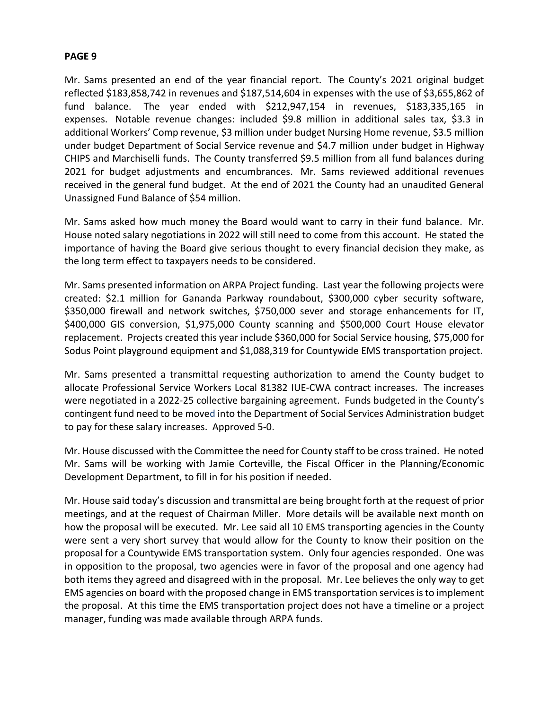Mr. Sams presented an end of the year financial report. The County's 2021 original budget reflected \$183,858,742 in revenues and \$187,514,604 in expenses with the use of \$3,655,862 of fund balance. The year ended with \$212,947,154 in revenues, \$183,335,165 in expenses. Notable revenue changes: included \$9.8 million in additional sales tax, \$3.3 in additional Workers' Comp revenue, \$3 million under budget Nursing Home revenue, \$3.5 million under budget Department of Social Service revenue and \$4.7 million under budget in Highway CHIPS and Marchiselli funds. The County transferred \$9.5 million from all fund balances during 2021 for budget adjustments and encumbrances. Mr. Sams reviewed additional revenues received in the general fund budget. At the end of 2021 the County had an unaudited General Unassigned Fund Balance of \$54 million.

Mr. Sams asked how much money the Board would want to carry in their fund balance. Mr. House noted salary negotiations in 2022 will still need to come from this account. He stated the importance of having the Board give serious thought to every financial decision they make, as the long term effect to taxpayers needs to be considered.

Mr. Sams presented information on ARPA Project funding. Last year the following projects were created: \$2.1 million for Gananda Parkway roundabout, \$300,000 cyber security software, \$350,000 firewall and network switches, \$750,000 sever and storage enhancements for IT, \$400,000 GIS conversion, \$1,975,000 County scanning and \$500,000 Court House elevator replacement. Projects created this year include \$360,000 for Social Service housing, \$75,000 for Sodus Point playground equipment and \$1,088,319 for Countywide EMS transportation project.

Mr. Sams presented a transmittal requesting authorization to amend the County budget to allocate Professional Service Workers Local 81382 IUE-CWA contract increases. The increases were negotiated in a 2022-25 collective bargaining agreement. Funds budgeted in the County's contingent fund need to be moved into the Department of Social Services Administration budget to pay for these salary increases. Approved 5-0.

Mr. House discussed with the Committee the need for County staff to be cross trained. He noted Mr. Sams will be working with Jamie Corteville, the Fiscal Officer in the Planning/Economic Development Department, to fill in for his position if needed.

Mr. House said today's discussion and transmittal are being brought forth at the request of prior meetings, and at the request of Chairman Miller. More details will be available next month on how the proposal will be executed. Mr. Lee said all 10 EMS transporting agencies in the County were sent a very short survey that would allow for the County to know their position on the proposal for a Countywide EMS transportation system. Only four agencies responded. One was in opposition to the proposal, two agencies were in favor of the proposal and one agency had both items they agreed and disagreed with in the proposal. Mr. Lee believes the only way to get EMS agencies on board with the proposed change in EMS transportation services is to implement the proposal. At this time the EMS transportation project does not have a timeline or a project manager, funding was made available through ARPA funds.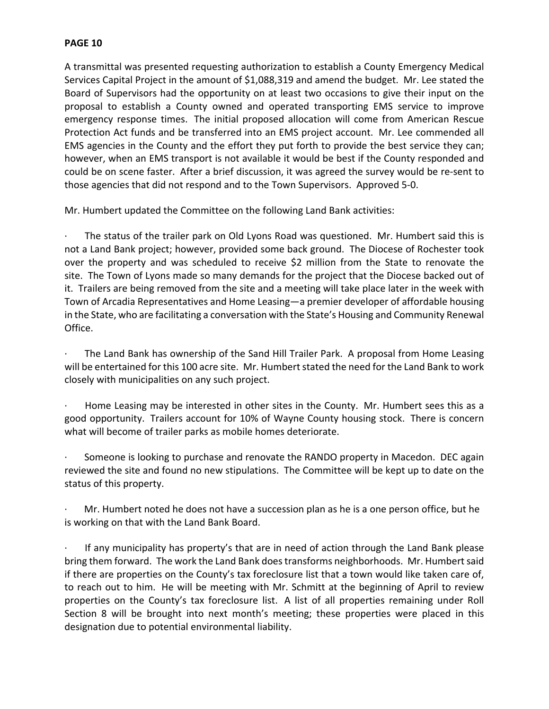A transmittal was presented requesting authorization to establish a County Emergency Medical Services Capital Project in the amount of \$1,088,319 and amend the budget. Mr. Lee stated the Board of Supervisors had the opportunity on at least two occasions to give their input on the proposal to establish a County owned and operated transporting EMS service to improve emergency response times. The initial proposed allocation will come from American Rescue Protection Act funds and be transferred into an EMS project account. Mr. Lee commended all EMS agencies in the County and the effort they put forth to provide the best service they can; however, when an EMS transport is not available it would be best if the County responded and could be on scene faster. After a brief discussion, it was agreed the survey would be re-sent to those agencies that did not respond and to the Town Supervisors. Approved 5-0.

Mr. Humbert updated the Committee on the following Land Bank activities:

The status of the trailer park on Old Lyons Road was questioned. Mr. Humbert said this is not a Land Bank project; however, provided some back ground. The Diocese of Rochester took over the property and was scheduled to receive \$2 million from the State to renovate the site. The Town of Lyons made so many demands for the project that the Diocese backed out of it. Trailers are being removed from the site and a meeting will take place later in the week with Town of Arcadia Representatives and Home Leasing—a premier developer of affordable housing in the State, who are facilitating a conversation with the State's Housing and Community Renewal Office.

The Land Bank has ownership of the Sand Hill Trailer Park. A proposal from Home Leasing will be entertained for this 100 acre site. Mr. Humbert stated the need for the Land Bank to work closely with municipalities on any such project.

Home Leasing may be interested in other sites in the County. Mr. Humbert sees this as a good opportunity. Trailers account for 10% of Wayne County housing stock. There is concern what will become of trailer parks as mobile homes deteriorate.

Someone is looking to purchase and renovate the RANDO property in Macedon. DEC again reviewed the site and found no new stipulations. The Committee will be kept up to date on the status of this property.

· Mr. Humbert noted he does not have a succession plan as he is a one person office, but he is working on that with the Land Bank Board.

If any municipality has property's that are in need of action through the Land Bank please bring them forward. The work the Land Bank does transforms neighborhoods. Mr. Humbert said if there are properties on the County's tax foreclosure list that a town would like taken care of, to reach out to him. He will be meeting with Mr. Schmitt at the beginning of April to review properties on the County's tax foreclosure list. A list of all properties remaining under Roll Section 8 will be brought into next month's meeting; these properties were placed in this designation due to potential environmental liability.